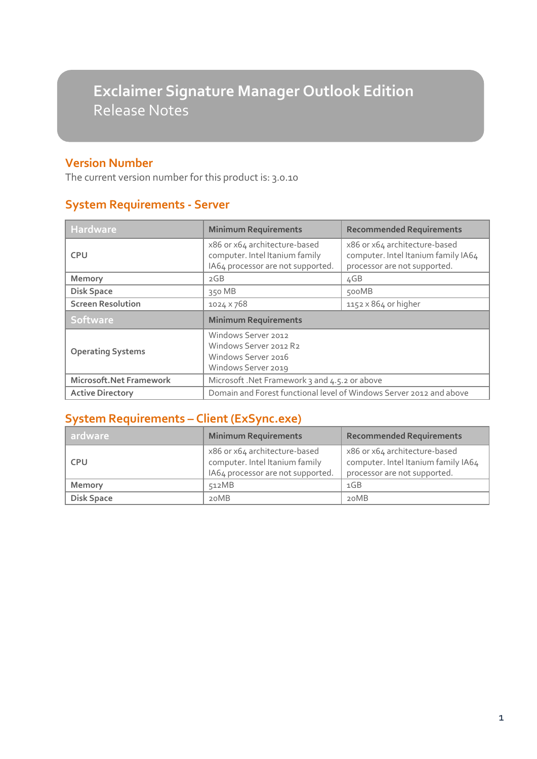# **Exclaimer Signature Manager Outlook Edition** Release Notes

#### **Version Number**

The current version number for this product is: 3.0.10

## **System Requirements - Server**

| <b>Hardware</b>          | <b>Minimum Requirements</b>                                                                          | <b>Recommended Requirements</b>                                                                      |  |
|--------------------------|------------------------------------------------------------------------------------------------------|------------------------------------------------------------------------------------------------------|--|
| <b>CPU</b>               | x86 or x64 architecture-based<br>computer. Intel Itanium family<br>IA64 processor are not supported. | x86 or x64 architecture-based<br>computer. Intel Itanium family IA64<br>processor are not supported. |  |
| Memory                   | 2GB                                                                                                  | 4GB                                                                                                  |  |
| <b>Disk Space</b>        | 350 MB                                                                                               | 500MB                                                                                                |  |
| <b>Screen Resolution</b> | 1024 × 768                                                                                           | $1152 \times 864$ or higher                                                                          |  |
| Software                 | <b>Minimum Requirements</b>                                                                          |                                                                                                      |  |
| <b>Operating Systems</b> | Windows Server 2012<br>Windows Server 2012 R2<br>Windows Server 2016<br>Windows Server 2019          |                                                                                                      |  |
| Microsoft.Net Framework  | Microsoft .Net Framework 3 and 4.5.2 or above                                                        |                                                                                                      |  |
| <b>Active Directory</b>  | Domain and Forest functional level of Windows Server 2012 and above                                  |                                                                                                      |  |

### **System Requirements – Client (ExSync.exe)**

| ardware           | <b>Minimum Requirements</b>                                                                          | <b>Recommended Requirements</b>                                                                      |
|-------------------|------------------------------------------------------------------------------------------------------|------------------------------------------------------------------------------------------------------|
| <b>CPU</b>        | x86 or x64 architecture-based<br>computer. Intel Itanium family<br>IA64 processor are not supported. | x86 or x64 architecture-based<br>computer. Intel Itanium family IA64<br>processor are not supported. |
| Memory            | 512MB                                                                                                | 1GB                                                                                                  |
| <b>Disk Space</b> | 20MB                                                                                                 | 20MB                                                                                                 |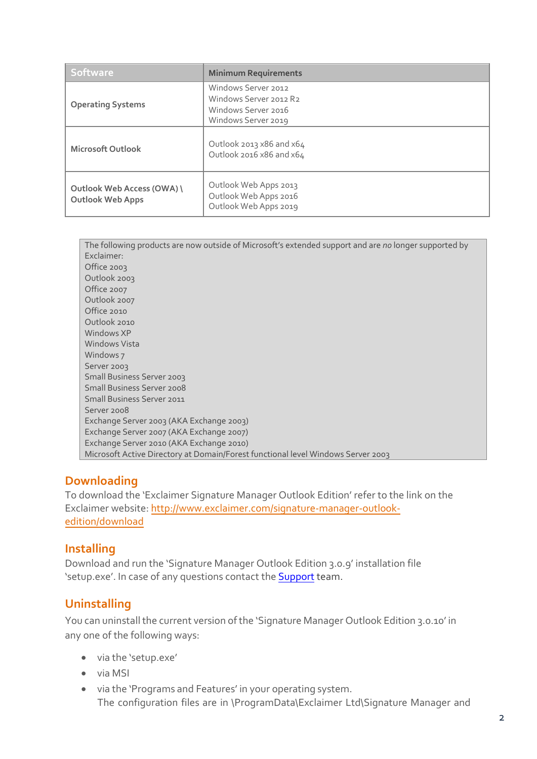| <b>Software</b>                                       | <b>Minimum Requirements</b>                                                                 |
|-------------------------------------------------------|---------------------------------------------------------------------------------------------|
| <b>Operating Systems</b>                              | Windows Server 2012<br>Windows Server 2012 R2<br>Windows Server 2016<br>Windows Server 2019 |
| <b>Microsoft Outlook</b>                              | Outlook 2013 $x86$ and $x64$<br>Outlook 2016 x86 and x64                                    |
| Outlook Web Access (OWA) \<br><b>Outlook Web Apps</b> | Outlook Web Apps 2013<br>Outlook Web Apps 2016<br>Outlook Web Apps 2019                     |

| The following products are now outside of Microsoft's extended support and are no longer supported by |
|-------------------------------------------------------------------------------------------------------|
| Exclaimer:                                                                                            |
| Office 2003                                                                                           |
| Outlook 2003                                                                                          |
| Office 2007                                                                                           |
| Outlook 2007                                                                                          |
| Office 2010                                                                                           |
| Outlook 2010                                                                                          |
| Windows XP                                                                                            |
| <b>Windows Vista</b>                                                                                  |
| Windows 7                                                                                             |
| Server 2003                                                                                           |
| Small Business Server 2003                                                                            |
| <b>Small Business Server 2008</b>                                                                     |
| <b>Small Business Server 2011</b>                                                                     |
| Server 2008                                                                                           |
| Exchange Server 2003 (AKA Exchange 2003)                                                              |
| Exchange Server 2007 (AKA Exchange 2007)                                                              |
| Exchange Server 2010 (AKA Exchange 2010)                                                              |
| Microsoft Active Directory at Domain/Forest functional level Windows Server 2003                      |

#### **Downloading**

To download the 'Exclaimer Signature Manager Outlook Edition' refer to the link on the Exclaimer website: [http://www.exclaimer.com/signature-manager-outlook](http://www.exclaimer.com/signature-manager-outlook-edition/download)[edition/download](http://www.exclaimer.com/signature-manager-outlook-edition/download)

#### **Installing**

Download and run the 'Signature Manager Outlook Edition 3.0.9' installation file 'setup.exe'. In case of any questions contact the [Support](mailto:support@exclaimer.com) team.

#### **Uninstalling**

You can uninstall the current version of the 'Signature Manager Outlook Edition 3.0.10' in any one of the following ways:

- via the 'setup.exe'
- via MSI
- via the 'Programs and Features' in your operating system. The configuration files are in \ProgramData\Exclaimer Ltd\Signature Manager and